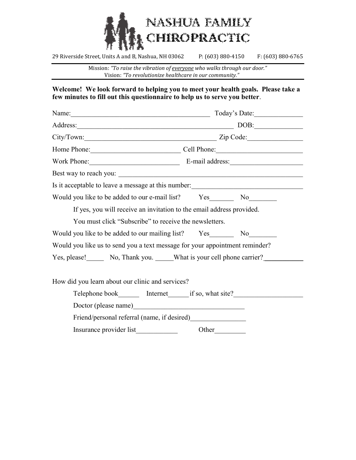

Mission: "To raise the vibration of everyone who walks through our door." Vision: "To revolutionize healthcare in our community."

### Welcome! We look forward to helping you to meet your health goals. Please take a few minutes to fill out this questionnaire to help us to serve you better.

|                                                                             | Today's Date:                                                                    |
|-----------------------------------------------------------------------------|----------------------------------------------------------------------------------|
|                                                                             | Address: DOB: DOB:                                                               |
|                                                                             | City/Town: Zip Code:                                                             |
|                                                                             | Home Phone: Cell Phone:                                                          |
|                                                                             | Work Phone: E-mail address:                                                      |
|                                                                             |                                                                                  |
|                                                                             | Is it acceptable to leave a message at this number: ____________________________ |
| Would you like to be added to our e-mail list? Yes No No                    |                                                                                  |
| If yes, you will receive an invitation to the email address provided.       |                                                                                  |
| You must click "Subscribe" to receive the newsletters.                      |                                                                                  |
|                                                                             |                                                                                  |
| Would you like us to send you a text message for your appointment reminder? |                                                                                  |
| Yes, please! No, Thank you. What is your cell phone carrier?                |                                                                                  |
| How did you learn about our clinic and services?                            |                                                                                  |
|                                                                             | Telephone book_________ Internet________if so, what site?_______________________ |
|                                                                             |                                                                                  |
|                                                                             |                                                                                  |
|                                                                             |                                                                                  |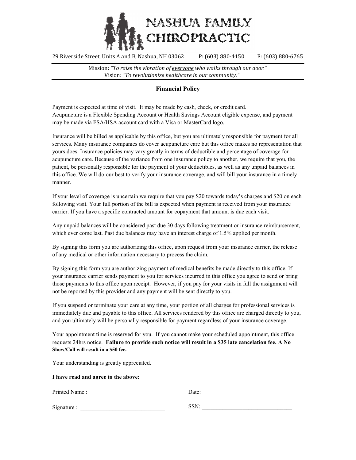

Mission: "To raise the vibration of everyone who walks through our door." Vision: "To revolutionize healthcare in our community."

### Financial Policy

Payment is expected at time of visit. It may be made by cash, check, or credit card. Acupuncture is a Flexible Spending Account or Health Savings Account eligible expense, and payment may be made via FSA/HSA account card with a Visa or MasterCard logo.

Insurance will be billed as applicable by this office, but you are ultimately responsible for payment for all services. Many insurance companies do cover acupuncture care but this office makes no representation that yours does. Insurance policies may vary greatly in terms of deductible and percentage of coverage for acupuncture care. Because of the variance from one insurance policy to another, we require that you, the patient, be personally responsible for the payment of your deductibles, as well as any unpaid balances in this office. We will do our best to verify your insurance coverage, and will bill your insurance in a timely manner.

If your level of coverage is uncertain we require that you pay \$20 towards today's charges and \$20 on each following visit. Your full portion of the bill is expected when payment is received from your insurance carrier. If you have a specific contracted amount for copayment that amount is due each visit.

Any unpaid balances will be considered past due 30 days following treatment or insurance reimbursement, which ever come last. Past due balances may have an interest charge of 1.5% applied per month.

By signing this form you are authorizing this office, upon request from your insurance carrier, the release of any medical or other information necessary to process the claim.

By signing this form you are authorizing payment of medical benefits be made directly to this office. If your insurance carrier sends payment to you for services incurred in this office you agree to send or bring those payments to this office upon receipt. However, if you pay for your visits in full the assignment will not be reported by this provider and any payment will be sent directly to you.

If you suspend or terminate your care at any time, your portion of all charges for professional services is immediately due and payable to this office. All services rendered by this office are charged directly to you, and you ultimately will be personally responsible for payment regardless of your insurance coverage.

Your appointment time is reserved for you. If you cannot make your scheduled appointment, this office requests 24hrs notice. Failure to provide such notice will result in a \$35 late cancelation fee. A No Show/Call will result in a \$50 fee.

Your understanding is greatly appreciated.

#### I have read and agree to the above:

| Printed Name: | Date:   |  |
|---------------|---------|--|
| Signature:    | $CCN$ . |  |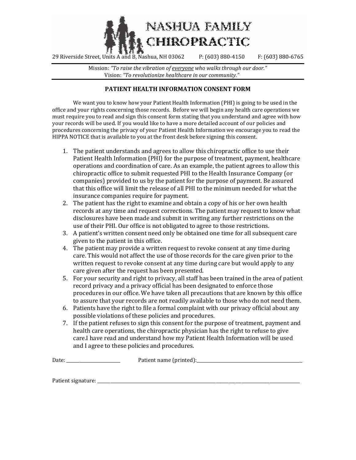

Mission: "To raise the vibration of everyone who walks through our door." Vision: "To revolutionize healthcare in our community."

### PATIENT HEALTH INFORMATION CONSENT FORM

We want you to know how your Patient Health Information (PHI) is going to be used in the office and your rights concerning those records. Before we will begin any health care operations we must require you to read and sign this consent form stating that you understand and agree with how your records will be used. If you would like to have a more detailed account of our policies and procedures concerning the privacy of your Patient Health Information we encourage you to read the HIPPA NOTICE that is available to you at the front desk before signing this consent.

- 1. The patient understands and agrees to allow this chiropractic office to use their Patient Health Information (PHI) for the purpose of treatment, payment, healthcare operations and coordination of care. As an example, the patient agrees to allow this chiropractic office to submit requested PHI to the Health Insurance Company (or companies) provided to us by the patient for the purpose of payment. Be assured that this office will limit the release of all PHI to the minimum needed for what the insurance companies require for payment.
- 2. The patient has the right to examine and obtain a copy of his or her own health records at any time and request corrections. The patient may request to know what disclosures have been made and submit in writing any further restrictions on the use of their PHI. Our office is not obligated to agree to those restrictions.
- 3. A patient's written consent need only be obtained one time for all subsequent care given to the patient in this office.
- 4. The patient may provide a written request to revoke consent at any time during care. This would not affect the use of those records for the care given prior to the written request to revoke consent at any time during care but would apply to any care given after the request has been presented.
- 5. For your security and right to privacy, all staff has been trained in the area of patient record privacy and a privacy official has been designated to enforce those procedures in our office. We have taken all precautions that are known by this office to assure that your records are not readily available to those who do not need them.
- 6. Patients have the right to file a formal complaint with our privacy official about any possible violations of these policies and procedures.
- 7. If the patient refuses to sign this consent for the purpose of treatment, payment and health care operations, the chiropractic physician has the right to refuse to give care.I have read and understand how my Patient Health Information will be used and I agree to these policies and procedures.

Date: \_\_\_\_\_\_\_\_\_\_\_\_\_\_\_\_\_\_\_\_\_\_\_\_\_ Patient name (printed):\_\_\_\_\_\_\_\_\_\_\_\_\_\_\_\_\_\_\_\_\_\_\_\_\_\_\_\_\_\_\_\_\_\_\_\_\_\_\_\_\_\_\_\_\_\_\_\_\_

Patient signature: \_\_\_\_\_\_\_\_\_\_\_\_\_\_\_\_\_\_\_\_\_\_\_\_\_\_\_\_\_\_\_\_\_\_\_\_\_\_\_\_\_\_\_\_\_\_\_\_\_\_\_\_\_\_\_\_\_\_\_\_\_\_\_\_\_\_\_\_\_\_\_\_\_\_\_\_\_\_\_\_\_\_\_\_\_\_\_\_\_\_\_\_\_\_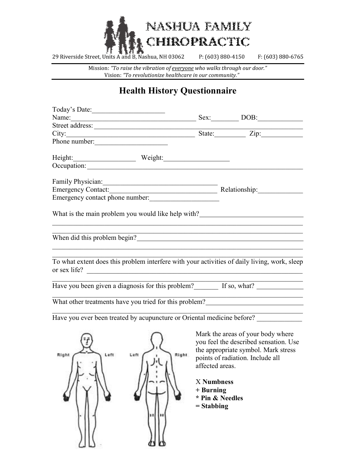

Mission: "To raise the vibration of everyone who walks through our door." Vision: "To revolutionize healthcare in our community."

# Health History Questionnaire

| Name:                                                                  |               |                   | Sex: DOB:                                                                                    |
|------------------------------------------------------------------------|---------------|-------------------|----------------------------------------------------------------------------------------------|
| Street address:                                                        |               |                   |                                                                                              |
| City:                                                                  |               |                   | State: $\angle Zip:$                                                                         |
| Phone number:                                                          |               |                   |                                                                                              |
| Height: Weight:                                                        |               |                   |                                                                                              |
| Occupation:                                                            |               |                   |                                                                                              |
| Family Physician: 1997                                                 |               |                   |                                                                                              |
|                                                                        |               |                   |                                                                                              |
| Emergency contact phone number:                                        |               |                   |                                                                                              |
|                                                                        |               |                   |                                                                                              |
| What is the main problem you would like help with?                     |               |                   |                                                                                              |
|                                                                        |               |                   |                                                                                              |
| When did this problem begin?                                           |               |                   |                                                                                              |
|                                                                        |               |                   |                                                                                              |
|                                                                        |               |                   |                                                                                              |
|                                                                        |               |                   | To what extent does this problem interfere with your activities of daily living, work, sleep |
| or sex life?                                                           |               |                   |                                                                                              |
|                                                                        |               |                   |                                                                                              |
|                                                                        |               |                   | Have you been given a diagnosis for this problem? If so, what? __________________            |
| What other treatments have you tried for this problem?                 |               |                   |                                                                                              |
|                                                                        |               |                   |                                                                                              |
| Have you ever been treated by acupuncture or Oriental medicine before? |               |                   |                                                                                              |
|                                                                        |               |                   |                                                                                              |
|                                                                        |               |                   | Mark the areas of your body where                                                            |
|                                                                        |               |                   | you feel the described sensation. Use                                                        |
|                                                                        |               |                   | the appropriate symbol. Mark stress                                                          |
| Left<br>Right                                                          | Right<br>Left |                   | points of radiation. Include all                                                             |
|                                                                        |               |                   | affected areas.                                                                              |
|                                                                        |               |                   |                                                                                              |
|                                                                        |               | <b>X</b> Numbness |                                                                                              |
|                                                                        |               | $+$ Burning       |                                                                                              |
|                                                                        |               | * Pin & Needles   |                                                                                              |
|                                                                        |               | $=$ Stabbing      |                                                                                              |
|                                                                        |               |                   |                                                                                              |
|                                                                        |               |                   |                                                                                              |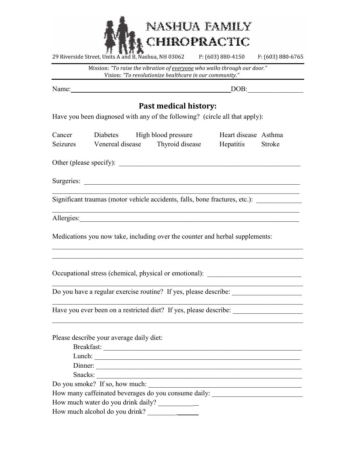

Mission: "To raise the vibration of everyone who walks through our door." Vision: "To revolutionize healthcare in our community."

Name: DOB:

## Past medical history:

Have you been diagnosed with any of the following? (circle all that apply):

| Cancer   | Diabetes         | High blood pressure | Heart disease Asthma |               |
|----------|------------------|---------------------|----------------------|---------------|
| Seizures | Venereal disease | Thyroid disease     | Hepatitis            | <b>Stroke</b> |

 $\mathcal{L}_\mathcal{L} = \mathcal{L}_\mathcal{L} = \mathcal{L}_\mathcal{L} = \mathcal{L}_\mathcal{L} = \mathcal{L}_\mathcal{L} = \mathcal{L}_\mathcal{L} = \mathcal{L}_\mathcal{L} = \mathcal{L}_\mathcal{L} = \mathcal{L}_\mathcal{L} = \mathcal{L}_\mathcal{L} = \mathcal{L}_\mathcal{L} = \mathcal{L}_\mathcal{L} = \mathcal{L}_\mathcal{L} = \mathcal{L}_\mathcal{L} = \mathcal{L}_\mathcal{L} = \mathcal{L}_\mathcal{L} = \mathcal{L}_\mathcal{L}$ 

Other (please specify): \_\_\_\_\_\_\_\_\_\_\_\_\_\_\_\_\_\_\_\_\_\_\_\_\_\_\_\_\_\_\_\_\_\_\_\_\_\_\_\_\_\_\_\_\_\_\_\_\_\_\_\_

Surgeries: \_\_\_\_\_\_\_\_\_\_\_\_\_\_\_\_\_\_\_\_\_\_\_\_\_\_\_\_\_\_\_\_\_\_\_\_\_\_\_\_\_\_\_\_\_\_\_\_\_\_\_\_\_\_\_\_\_\_\_\_\_\_

Significant traumas (motor vehicle accidents, falls, bone fractures, etc.):

Allergies:

Medications you now take, including over the counter and herbal supplements:

Occupational stress (chemical, physical or emotional):

Do you have a regular exercise routine? If yes, please describe:

Have you ever been on a restricted diet? If yes, please describe:

Please describe your average daily diet:

| Breakfast:                                           |
|------------------------------------------------------|
| Lunch:                                               |
| Dinner:                                              |
| Snacks:                                              |
| Do you smoke? If so, how much:                       |
| How many caffeinated beverages do you consume daily: |
| How much water do you drink daily?                   |
| How much alcohol do you drink?                       |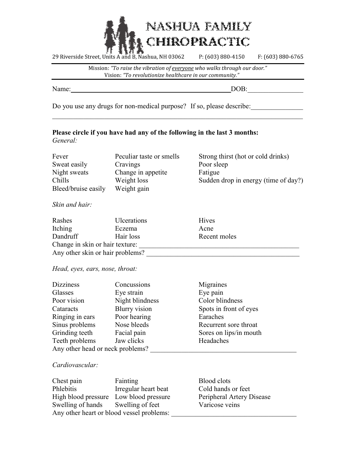

Mission: "To raise the vibration of everyone who walks through our door." Vision: "To revolutionize healthcare in our community."

Name: DOB:\_\_\_\_\_\_\_\_\_\_\_\_\_\_\_\_

Do you use any drugs for non-medical purpose? If so, please describe:

### Please circle if you have had any of the following in the last 3 months: General:

| Fever                         | Peculiar taste or smells   | Strong thirst (hot or cold drinks)   |
|-------------------------------|----------------------------|--------------------------------------|
| Sweat easily                  | Cravings                   | Poor sleep                           |
| Night sweats                  | Change in appetite         | Fatigue                              |
| Chills<br>Bleed/bruise easily | Weight loss<br>Weight gain | Sudden drop in energy (time of day?) |

### Skin and hair:

| Rashes                           | <b>Ulcerations</b> | Hives        |  |
|----------------------------------|--------------------|--------------|--|
| Itching                          | Eczema             | Acne         |  |
| Dandruff                         | Hair loss          | Recent moles |  |
| Change in skin or hair texture:  |                    |              |  |
| Any other skin or hair problems? |                    |              |  |

Head, eyes, ears, nose, throat:

| <b>Dizziness</b>                 | Concussions          | Migraines              |
|----------------------------------|----------------------|------------------------|
| Glasses                          | Eye strain           | Eye pain               |
| Poor vision                      | Night blindness      | Color blindness        |
| Cataracts                        | <b>Blurry</b> vision | Spots in front of eyes |
| Ringing in ears                  | Poor hearing         | Earaches               |
| Sinus problems                   | Nose bleeds          | Recurrent sore throat  |
| Grinding teeth                   | Facial pain          | Sores on lips/in mouth |
| Teeth problems                   | Jaw clicks           | Headaches              |
| Any other head or neck problems? |                      |                        |

### Cardiovascular:

| Chest pain                                | Fainting             | Blood clots               |
|-------------------------------------------|----------------------|---------------------------|
| <b>Phlebitis</b>                          | Irregular heart beat | Cold hands or feet        |
| High blood pressure Low blood pressure    |                      | Peripheral Artery Disease |
| Swelling of hands Swelling of feet        |                      | Varicose veins            |
| Any other heart or blood vessel problems: |                      |                           |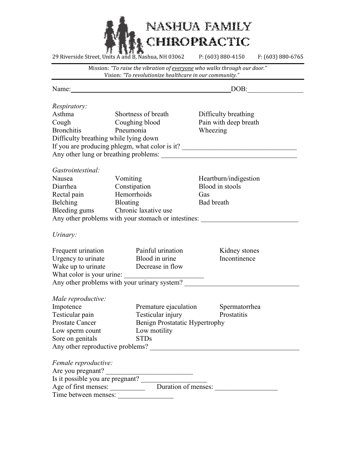

Mission: "To raise the vibration of everyone who walks through our door." Vision: "To revolutionize healthcare in our community."

| <i>Respiratory:</i><br>Asthma<br>Shortness of breath<br>Difficulty breathing<br>Pain with deep breath<br>Cough<br>Coughing blood                                                                                                                                                                             |  |
|--------------------------------------------------------------------------------------------------------------------------------------------------------------------------------------------------------------------------------------------------------------------------------------------------------------|--|
|                                                                                                                                                                                                                                                                                                              |  |
|                                                                                                                                                                                                                                                                                                              |  |
|                                                                                                                                                                                                                                                                                                              |  |
| <b>Bronchitis</b><br>Pneumonia<br>Wheezing                                                                                                                                                                                                                                                                   |  |
| Difficulty breathing while lying down                                                                                                                                                                                                                                                                        |  |
| If you are producing phlegm, what color is it? _________________________________                                                                                                                                                                                                                             |  |
|                                                                                                                                                                                                                                                                                                              |  |
|                                                                                                                                                                                                                                                                                                              |  |
| <i>Gastrointestinal:</i>                                                                                                                                                                                                                                                                                     |  |
| Nausea<br>Vomiting<br>Heartburn/indigestion                                                                                                                                                                                                                                                                  |  |
| Constipation<br>Blood in stools<br>Diarrhea                                                                                                                                                                                                                                                                  |  |
| Hemorrhoids<br>Rectal pain<br>Gas                                                                                                                                                                                                                                                                            |  |
| Belching<br><b>Bloating</b><br><b>Bad breath</b>                                                                                                                                                                                                                                                             |  |
| Bleeding gums Chronic laxative use                                                                                                                                                                                                                                                                           |  |
| Any other problems with your stomach or intestines: ____________________________                                                                                                                                                                                                                             |  |
| Urinary:                                                                                                                                                                                                                                                                                                     |  |
| Painful urination<br>Frequent urination<br>Kidney stones                                                                                                                                                                                                                                                     |  |
| Blood in urine<br>Incontinence<br>Urgency to urinate                                                                                                                                                                                                                                                         |  |
| Wake up to urinate<br>Decrease in flow                                                                                                                                                                                                                                                                       |  |
| What color is your urine:                                                                                                                                                                                                                                                                                    |  |
| Any other problems with your urinary system?                                                                                                                                                                                                                                                                 |  |
|                                                                                                                                                                                                                                                                                                              |  |
| Male reproductive:                                                                                                                                                                                                                                                                                           |  |
| Impotence<br>Premature ejaculation Spermatorrhea                                                                                                                                                                                                                                                             |  |
| Testicular pain<br>Testicular injury<br>Prostatitis                                                                                                                                                                                                                                                          |  |
| <b>Prostate Cancer</b><br>Benign Prostatatic Hypertrophy                                                                                                                                                                                                                                                     |  |
| Low motility<br>Low sperm count                                                                                                                                                                                                                                                                              |  |
| Sore on genitals<br><b>STDs</b>                                                                                                                                                                                                                                                                              |  |
| Any other reproductive problems?                                                                                                                                                                                                                                                                             |  |
| Female reproductive:                                                                                                                                                                                                                                                                                         |  |
| Are you pregnant?                                                                                                                                                                                                                                                                                            |  |
|                                                                                                                                                                                                                                                                                                              |  |
| Is it possible you are pregnant?<br>$\frac{1}{2}$ $\frac{1}{2}$ $\frac{1}{2}$ $\frac{1}{2}$ $\frac{1}{2}$ $\frac{1}{2}$ $\frac{1}{2}$ $\frac{1}{2}$ $\frac{1}{2}$ $\frac{1}{2}$ $\frac{1}{2}$ $\frac{1}{2}$ $\frac{1}{2}$ $\frac{1}{2}$ $\frac{1}{2}$ $\frac{1}{2}$ $\frac{1}{2}$ $\frac{1}{2}$ $\frac{1}{2$ |  |
| Time between menses:                                                                                                                                                                                                                                                                                         |  |